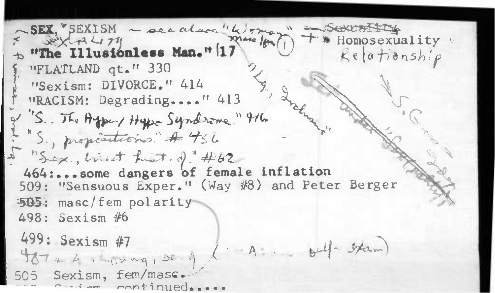SEX, SEXISM - see also-"Woman" - Sexuartity SEX 2474 **\* Homosexuality** "The Illusionless Man." 17  $Keafionship$ "FLATLAND qt." 330 "Sexism: DIVORCE." 414 "RACISM: Degrading...." 413 "S. The Agent Hypo Syndrome" 916 "S., propositions." A 436 "Sex, West hist. of #62 464:...some dangers of female inflation 509: "Sensuous Exper." (Way #8) and Peter Berger 505: masc/fem polarity 498: Sexism #6 499: Sexism #7  $1 = A$  bell-than  $487 + 4$ ,  $4.441$ 505 Sexism, fem/masc. continued...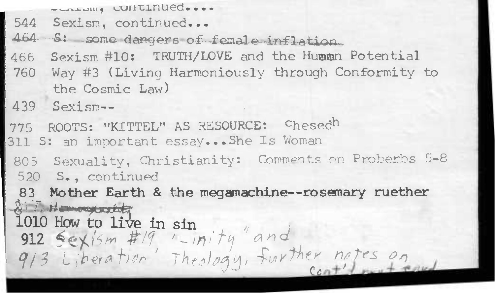```
- CALONG CONTINUED...
```

```
544 Sexism, continued...
```
464 S: some dangers of female inflation.

Sexism #10: TRUTH/LOVE and the Humman Potential 466

760 Way #3 (Living Harmoniously through Conformity to the Cosmic Law)

 $439$  Sexism--

775 ROOTS: "KITTEL" AS RESOURCE: Chesedh

311 S: an important essay...She Is Woman

805 Sexuality, Christianity: Comments on Proberbs 5-8 520 S., continued

83 Mother Earth & the megamachine -- rosemary ruether Sil Homography

1010 How to live in sin<br>912 Sexism #19 '-inity " and<br>913 Liberation Theology, further notes on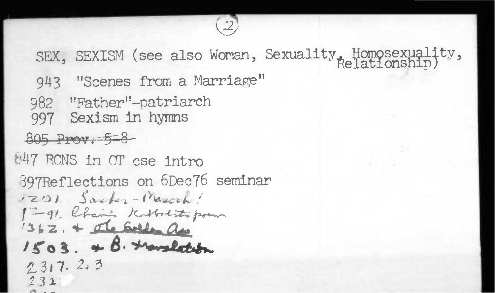SEX, SEXISM (see also Woman, Sexuality, Homosexuality, 943 "Scenes from a Marriage" 982 "Father"-patriarch 997 Sexism in hymns 805 Prov. 5-8 847 RCNS in OT cse intro 897Reflections on 6Dec76 seminar 1201 Sacher-March! 1-91. Chain's Kilbolistic poem 1362. + de Golfen as  $1503.48.$  travalection  $2317.23$  $232.$